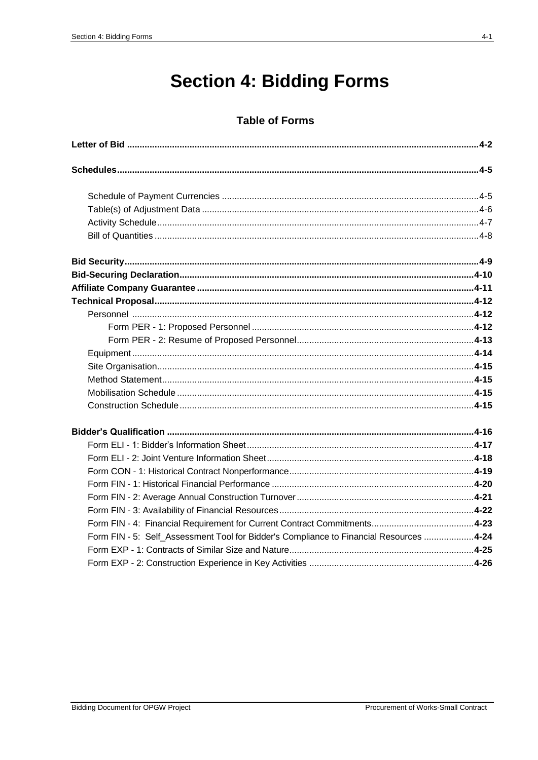## **Section 4: Bidding Forms**

## **Table of Forms**

| Form FIN - 5: Self_Assessment Tool for Bidder's Compliance to Financial Resources 4-24 |  |
|----------------------------------------------------------------------------------------|--|
|                                                                                        |  |
|                                                                                        |  |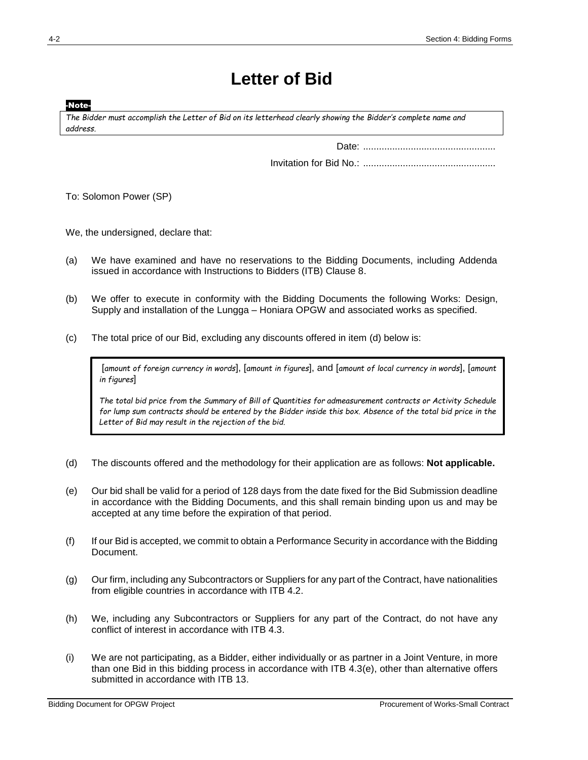## **Letter of Bid**

-Note-

*The Bidder must accomplish the Letter of Bid on its letterhead clearly showing the Bidder's complete name and address.*

Date: ..................................................

Invitation for Bid No.: ..................................................

To: Solomon Power (SP)

We, the undersigned, declare that:

- (a) We have examined and have no reservations to the Bidding Documents, including Addenda issued in accordance with Instructions to Bidders (ITB) Clause 8.
- (b) We offer to execute in conformity with the Bidding Documents the following Works: Design, Supply and installation of the Lungga – Honiara OPGW and associated works as specified.
- (c) The total price of our Bid, excluding any discounts offered in item (d) below is:

[*amount of foreign currency in words*], [*amount in figures*], and [*amount of local currency in words*], [*amount in figures*]

*The total bid price from the Summary of Bill of Quantities for admeasurement contracts or Activity Schedule for lump sum contracts should be entered by the Bidder inside this box. Absence of the total bid price in the Letter of Bid may result in the rejection of the bid.*

- (d) The discounts offered and the methodology for their application are as follows: **Not applicable.**
- (e) Our bid shall be valid for a period of 128 days from the date fixed for the Bid Submission deadline in accordance with the Bidding Documents, and this shall remain binding upon us and may be accepted at any time before the expiration of that period.
- (f) If our Bid is accepted, we commit to obtain a Performance Security in accordance with the Bidding Document.
- (g) Our firm, including any Subcontractors or Suppliers for any part of the Contract, have nationalities from eligible countries in accordance with ITB 4.2.
- (h) We, including any Subcontractors or Suppliers for any part of the Contract, do not have any conflict of interest in accordance with ITB 4.3.
- (i) We are not participating, as a Bidder, either individually or as partner in a Joint Venture, in more than one Bid in this bidding process in accordance with ITB 4.3(e), other than alternative offers submitted in accordance with ITB 13.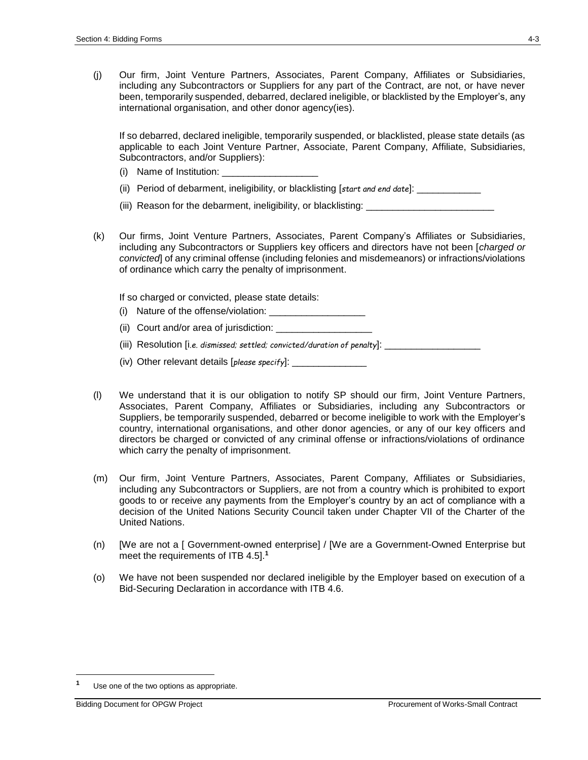(j) Our firm, Joint Venture Partners, Associates, Parent Company, Affiliates or Subsidiaries, including any Subcontractors or Suppliers for any part of the Contract, are not, or have never been, temporarily suspended, debarred, declared ineligible, or blacklisted by the Employer's, any international organisation, and other donor agency(ies).

If so debarred, declared ineligible, temporarily suspended, or blacklisted, please state details (as applicable to each Joint Venture Partner, Associate, Parent Company, Affiliate, Subsidiaries, Subcontractors, and/or Suppliers):

- (i) Name of Institution:
- (ii) Period of debarment, ineligibility, or blacklisting [*start and end date*]: \_\_\_\_\_\_\_\_\_\_\_\_
- (iii) Reason for the debarment, ineligibility, or blacklisting: \_\_\_\_\_\_\_\_\_\_\_\_\_\_\_\_
- (k) Our firms, Joint Venture Partners, Associates, Parent Company's Affiliates or Subsidiaries, including any Subcontractors or Suppliers key officers and directors have not been [*charged or convicted*] of any criminal offense (including felonies and misdemeanors) or infractions/violations of ordinance which carry the penalty of imprisonment.

If so charged or convicted, please state details:

- (i) Nature of the offense/violation:
- (ii) Court and/or area of jurisdiction: \_\_\_\_\_\_\_\_\_\_
- (iii) Resolution [i*.e. dismissed; settled; convicted/duration of penalty*]:
- (iv) Other relevant details [*please specify*]:
- (l) We understand that it is our obligation to notify SP should our firm, Joint Venture Partners, Associates, Parent Company, Affiliates or Subsidiaries, including any Subcontractors or Suppliers, be temporarily suspended, debarred or become ineligible to work with the Employer's country, international organisations, and other donor agencies, or any of our key officers and directors be charged or convicted of any criminal offense or infractions/violations of ordinance which carry the penalty of imprisonment.
- (m) Our firm, Joint Venture Partners, Associates, Parent Company, Affiliates or Subsidiaries, including any Subcontractors or Suppliers, are not from a country which is prohibited to export goods to or receive any payments from the Employer's country by an act of compliance with a decision of the United Nations Security Council taken under Chapter VII of the Charter of the United Nations.
- (n) [We are not a [ Government-owned enterprise] / [We are a Government-Owned Enterprise but meet the requirements of ITB 4.5].**<sup>1</sup>**
- (o) We have not been suspended nor declared ineligible by the Employer based on execution of a Bid-Securing Declaration in accordance with ITB 4.6.

 $\overline{a}$ 

**<sup>1</sup>** Use one of the two options as appropriate.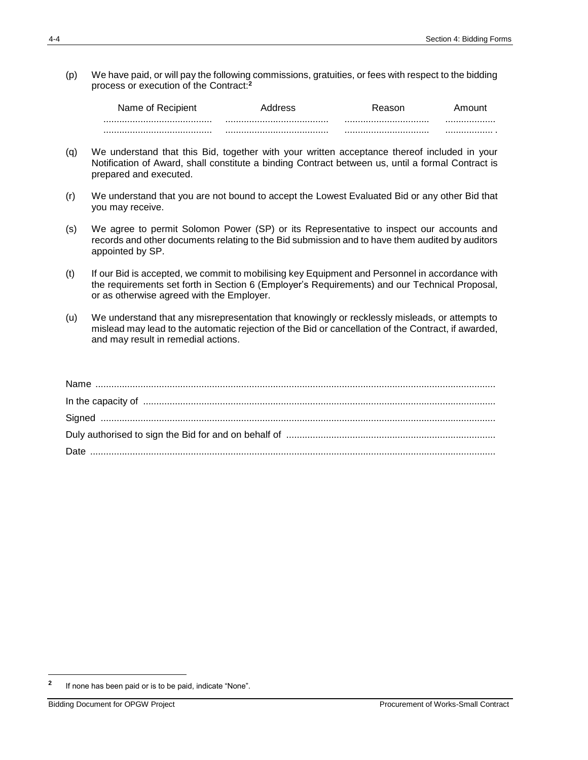(p) We have paid, or will pay the following commissions, gratuities, or fees with respect to the bidding process or execution of the Contract: **2**

| Name of Recipient |  |  |
|-------------------|--|--|
|                   |  |  |
|                   |  |  |

- (q) We understand that this Bid, together with your written acceptance thereof included in your Notification of Award, shall constitute a binding Contract between us, until a formal Contract is prepared and executed.
- (r) We understand that you are not bound to accept the Lowest Evaluated Bid or any other Bid that you may receive.
- (s) We agree to permit Solomon Power (SP) or its Representative to inspect our accounts and records and other documents relating to the Bid submission and to have them audited by auditors appointed by SP.
- (t) If our Bid is accepted, we commit to mobilising key Equipment and Personnel in accordance with the requirements set forth in Section 6 (Employer's Requirements) and our Technical Proposal, or as otherwise agreed with the Employer.
- (u) We understand that any misrepresentation that knowingly or recklessly misleads, or attempts to mislead may lead to the automatic rejection of the Bid or cancellation of the Contract, if awarded, and may result in remedial actions.

 $\overline{a}$ 

**<sup>2</sup>** If none has been paid or is to be paid, indicate "None".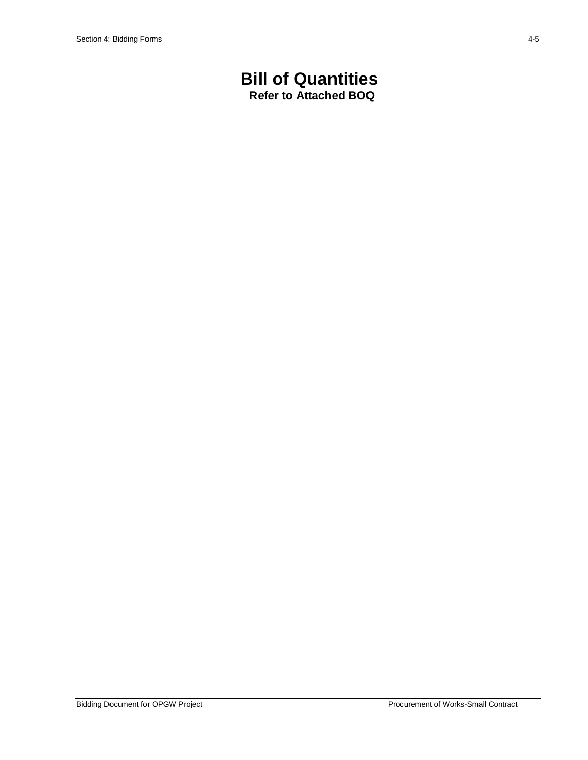# **Bill of Quantities**

**Refer to Attached BOQ**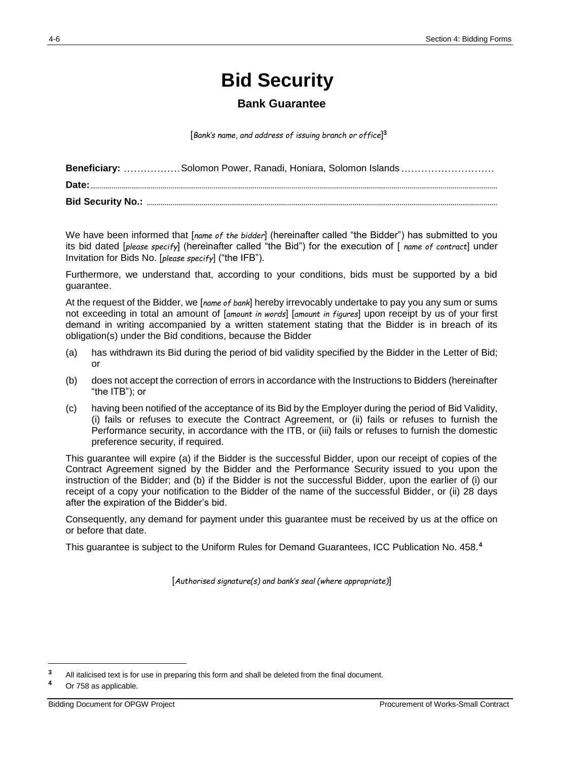## **Bid Security**

## **Bank Guarantee**

[*Bank's name, and address of issuing branch or office*] **3**

| Beneficiary: Solomon Power, Ranadi, Honiara, Solomon Islands |
|--------------------------------------------------------------|
|                                                              |
|                                                              |

We have been informed that [*name of the bidder*] (hereinafter called "the Bidder") has submitted to you its bid dated [*please specify*] (hereinafter called "the Bid") for the execution of [ *name of contract*] under Invitation for Bids No. [*please specify*] ("the IFB").

Furthermore, we understand that, according to your conditions, bids must be supported by a bid guarantee.

At the request of the Bidder, we [*name of bank*] hereby irrevocably undertake to pay you any sum or sums not exceeding in total an amount of [*amount in words*] [*amount in figures*] upon receipt by us of your first demand in writing accompanied by a written statement stating that the Bidder is in breach of its obligation(s) under the Bid conditions, because the Bidder

- (a) has withdrawn its Bid during the period of bid validity specified by the Bidder in the Letter of Bid; or
- (b) does not accept the correction of errors in accordance with the Instructions to Bidders (hereinafter "the ITB"); or
- (c) having been notified of the acceptance of its Bid by the Employer during the period of Bid Validity, (i) fails or refuses to execute the Contract Agreement, or (ii) fails or refuses to furnish the Performance security, in accordance with the ITB, or (iii) fails or refuses to furnish the domestic preference security, if required.

This guarantee will expire (a) if the Bidder is the successful Bidder, upon our receipt of copies of the Contract Agreement signed by the Bidder and the Performance Security issued to you upon the instruction of the Bidder; and (b) if the Bidder is not the successful Bidder, upon the earlier of (i) our receipt of a copy your notification to the Bidder of the name of the successful Bidder, or (ii) 28 days after the expiration of the Bidder's bid.

Consequently, any demand for payment under this guarantee must be received by us at the office on or before that date.

This guarantee is subject to the Uniform Rules for Demand Guarantees, ICC Publication No. 458.**<sup>4</sup>**

[*Authorised signature(s) and bank's seal (where appropriate)*]

 $\overline{a}$ 

**<sup>3</sup>** All italicised text is for use in preparing this form and shall be deleted from the final document.

**<sup>4</sup>** Or 758 as applicable.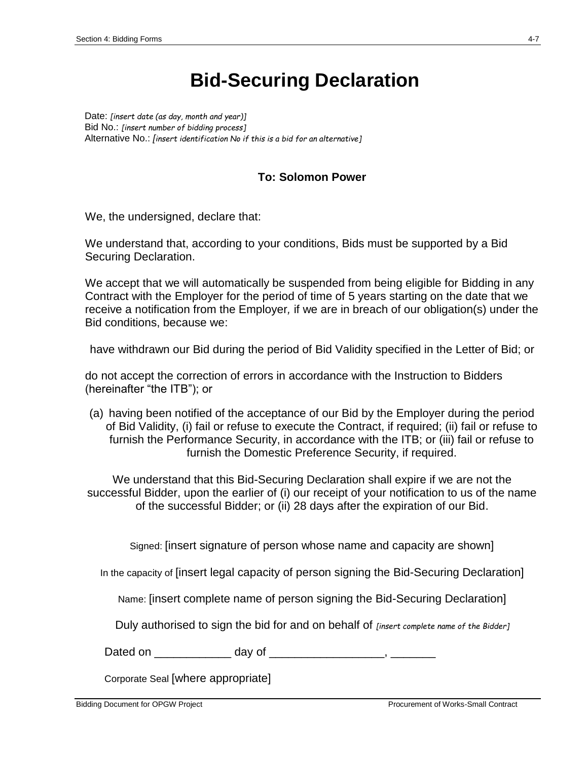## **Bid-Securing Declaration**

Date: *[insert date (as day, month and year)]* Bid No.: *[insert number of bidding process]* Alternative No.: *[insert identification No if this is a bid for an alternative]*

## **To: Solomon Power**

We, the undersigned, declare that:

We understand that, according to your conditions, Bids must be supported by a Bid Securing Declaration.

We accept that we will automatically be suspended from being eligible for Bidding in any Contract with the Employer for the period of time of 5 years starting on the date that we receive a notification from the Employer*,* if we are in breach of our obligation(s) under the Bid conditions, because we:

have withdrawn our Bid during the period of Bid Validity specified in the Letter of Bid; or

do not accept the correction of errors in accordance with the Instruction to Bidders (hereinafter "the ITB"); or

(a) having been notified of the acceptance of our Bid by the Employer during the period of Bid Validity, (i) fail or refuse to execute the Contract, if required; (ii) fail or refuse to furnish the Performance Security, in accordance with the ITB; or (iii) fail or refuse to furnish the Domestic Preference Security, if required.

We understand that this Bid-Securing Declaration shall expire if we are not the successful Bidder, upon the earlier of (i) our receipt of your notification to us of the name of the successful Bidder; or (ii) 28 days after the expiration of our Bid.

Signed: [insert signature of person whose name and capacity are shown]

In the capacity of [insert legal capacity of person signing the Bid-Securing Declaration]

Name: [insert complete name of person signing the Bid-Securing Declaration]

Duly authorised to sign the bid for and on behalf of *[insert complete name of the Bidder]*

Dated on \_\_\_\_\_\_\_\_\_\_\_\_\_\_ day of \_\_\_\_\_\_\_\_\_\_\_\_\_\_\_\_\_\_\_\_\_\_, \_\_\_\_\_\_\_\_\_\_

Corporate Seal [where appropriate]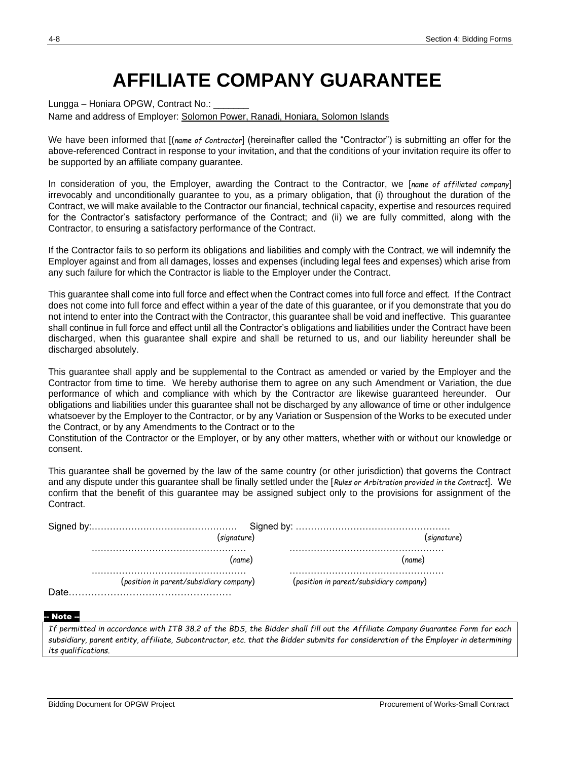## **AFFILIATE COMPANY GUARANTEE**

Lungga – Honiara OPGW, Contract No.: Name and address of Employer: Solomon Power, Ranadi, Honiara, Solomon Islands

We have been informed that [(*name of Contractor*] (hereinafter called the "Contractor") is submitting an offer for the above-referenced Contract in response to your invitation, and that the conditions of your invitation require its offer to be supported by an affiliate company guarantee.

In consideration of you, the Employer, awarding the Contract to the Contractor, we [*name of affiliated company*] irrevocably and unconditionally guarantee to you, as a primary obligation, that (i) throughout the duration of the Contract, we will make available to the Contractor our financial, technical capacity, expertise and resources required for the Contractor's satisfactory performance of the Contract; and (ii) we are fully committed, along with the Contractor, to ensuring a satisfactory performance of the Contract.

If the Contractor fails to so perform its obligations and liabilities and comply with the Contract, we will indemnify the Employer against and from all damages, losses and expenses (including legal fees and expenses) which arise from any such failure for which the Contractor is liable to the Employer under the Contract.

This guarantee shall come into full force and effect when the Contract comes into full force and effect. If the Contract does not come into full force and effect within a year of the date of this guarantee, or if you demonstrate that you do not intend to enter into the Contract with the Contractor, this guarantee shall be void and ineffective. This guarantee shall continue in full force and effect until all the Contractor's obligations and liabilities under the Contract have been discharged, when this guarantee shall expire and shall be returned to us, and our liability hereunder shall be discharged absolutely.

This guarantee shall apply and be supplemental to the Contract as amended or varied by the Employer and the Contractor from time to time. We hereby authorise them to agree on any such Amendment or Variation, the due performance of which and compliance with which by the Contractor are likewise guaranteed hereunder. Our obligations and liabilities under this guarantee shall not be discharged by any allowance of time or other indulgence whatsoever by the Employer to the Contractor, or by any Variation or Suspension of the Works to be executed under the Contract, or by any Amendments to the Contract or to the

Constitution of the Contractor or the Employer, or by any other matters, whether with or without our knowledge or consent.

This guarantee shall be governed by the law of the same country (or other jurisdiction) that governs the Contract and any dispute under this guarantee shall be finally settled under the [*Rules or Arbitration provided in the Contract*]. We confirm that the benefit of this guarantee may be assigned subject only to the provisions for assignment of the Contract.

|  |                                         | 'sianature)                             |
|--|-----------------------------------------|-----------------------------------------|
|  | (name                                   | name                                    |
|  | (position in parent/subsidiary company) | (position in parent/subsidiary company) |

#### -- Note --

*If permitted in accordance with ITB 38.2 of the BDS, the Bidder shall fill out the Affiliate Company Guarantee Form for each subsidiary, parent entity, affiliate, Subcontractor, etc. that the Bidder submits for consideration of the Employer in determining its qualifications.*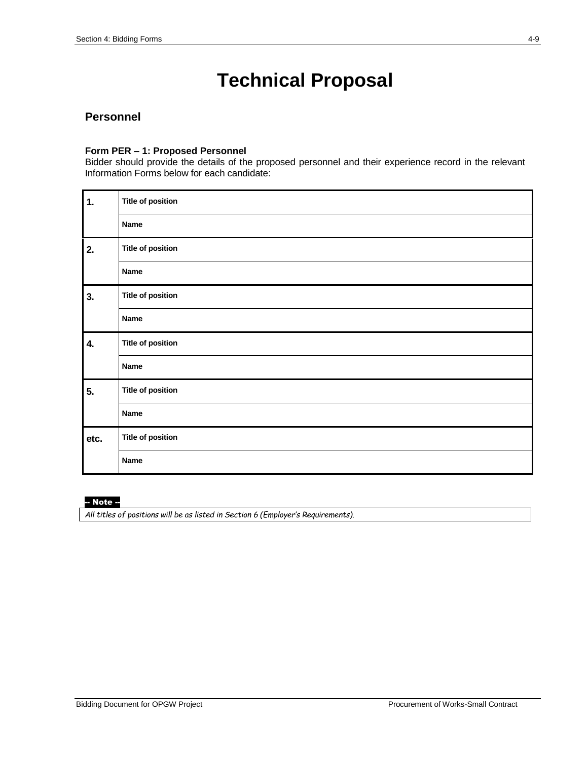## **Technical Proposal**

### **Personnel**

#### **Form PER – 1: Proposed Personnel**

Bidder should provide the details of the proposed personnel and their experience record in the relevant Information Forms below for each candidate:

| $\ddot{\mathbf{1}}$ . | <b>Title of position</b> |
|-----------------------|--------------------------|
|                       | Name                     |
| 2.                    | <b>Title of position</b> |
|                       | Name                     |
| 3.                    | <b>Title of position</b> |
|                       | <b>Name</b>              |
| 4.                    | <b>Title of position</b> |
|                       | <b>Name</b>              |
| 5.                    | <b>Title of position</b> |
|                       | <b>Name</b>              |
| etc.                  | <b>Title of position</b> |
|                       | Name                     |

### -- Note --

*All titles of positions will be as listed in Section 6 (Employer's Requirements).*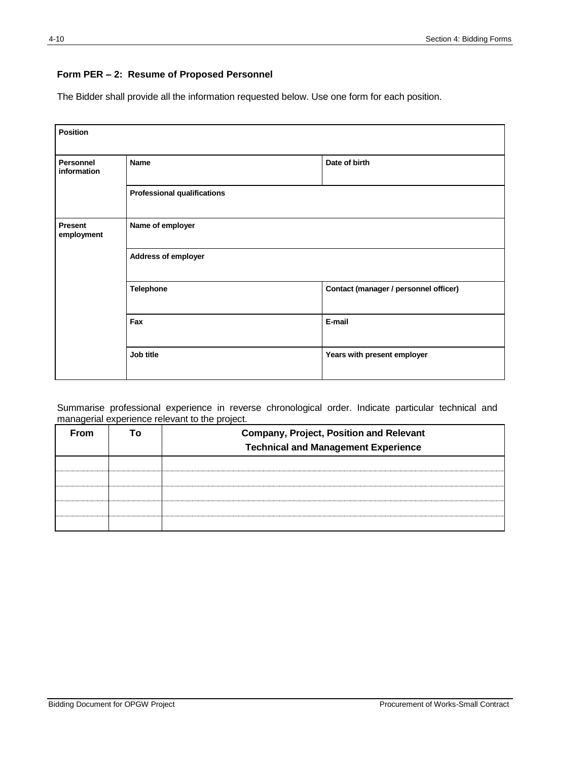### **Form PER – 2: Resume of Proposed Personnel**

The Bidder shall provide all the information requested below. Use one form for each position.

| <b>Position</b>          |                                    |                                       |  |
|--------------------------|------------------------------------|---------------------------------------|--|
| Personnel<br>information | <b>Name</b>                        | Date of birth                         |  |
|                          | <b>Professional qualifications</b> |                                       |  |
| Present<br>employment    | Name of employer                   |                                       |  |
|                          | Address of employer                |                                       |  |
|                          | <b>Telephone</b>                   | Contact (manager / personnel officer) |  |
|                          | Fax                                | E-mail                                |  |
|                          | Job title                          | Years with present employer           |  |

Summarise professional experience in reverse chronological order. Indicate particular technical and managerial experience relevant to the project.

| <b>From</b> | Т٥ | <b>Company, Project, Position and Relevant</b><br><b>Technical and Management Experience</b> |  |
|-------------|----|----------------------------------------------------------------------------------------------|--|
|             |    |                                                                                              |  |
|             |    |                                                                                              |  |
|             |    |                                                                                              |  |
|             |    |                                                                                              |  |
|             |    |                                                                                              |  |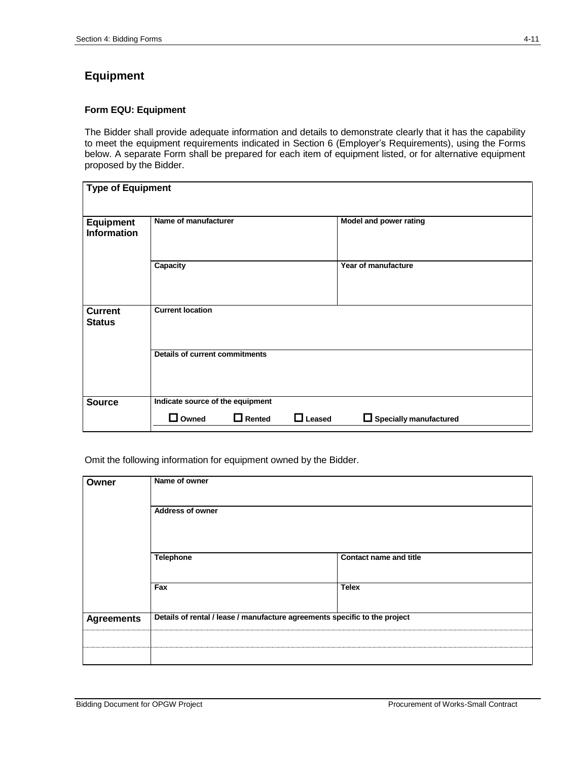## **Equipment**

#### **Form EQU: Equipment**

The Bidder shall provide adequate information and details to demonstrate clearly that it has the capability to meet the equipment requirements indicated in Section 6 (Employer's Requirements), using the Forms below. A separate Form shall be prepared for each item of equipment listed, or for alternative equipment proposed by the Bidder.

| Type of Equipment                      |                                       |               |               |                               |
|----------------------------------------|---------------------------------------|---------------|---------------|-------------------------------|
|                                        |                                       |               |               |                               |
|                                        |                                       |               |               |                               |
| <b>Equipment</b><br><b>Information</b> | Name of manufacturer                  |               |               | Model and power rating        |
|                                        |                                       |               |               |                               |
|                                        | Capacity                              |               |               | Year of manufacture           |
|                                        |                                       |               |               |                               |
|                                        |                                       |               |               |                               |
| <b>Current</b>                         | <b>Current location</b>               |               |               |                               |
| <b>Status</b>                          |                                       |               |               |                               |
|                                        |                                       |               |               |                               |
|                                        | <b>Details of current commitments</b> |               |               |                               |
|                                        |                                       |               |               |                               |
|                                        |                                       |               |               |                               |
|                                        |                                       |               |               |                               |
| <b>Source</b>                          | Indicate source of the equipment      |               |               |                               |
|                                        | $\Box$ Owned                          | $\Box$ Rented | $\Box$ Leased | $\Box$ Specially manufactured |
|                                        |                                       |               |               |                               |

Omit the following information for equipment owned by the Bidder.

| Owner             | Name of owner                                                              |                               |  |
|-------------------|----------------------------------------------------------------------------|-------------------------------|--|
|                   | <b>Address of owner</b>                                                    |                               |  |
|                   | Telephone                                                                  | <b>Contact name and title</b> |  |
|                   | Fax                                                                        | <b>Telex</b>                  |  |
| <b>Agreements</b> | Details of rental / lease / manufacture agreements specific to the project |                               |  |
|                   |                                                                            |                               |  |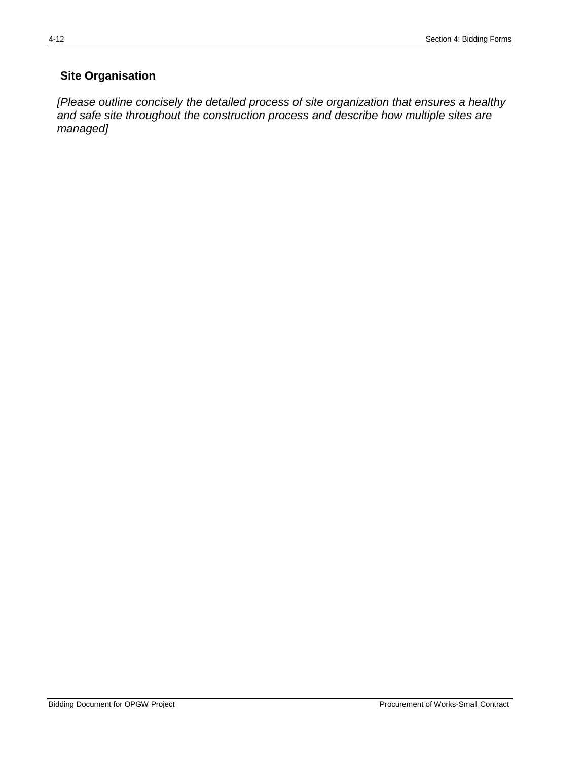## **Site Organisation**

*[Please outline concisely the detailed process of site organization that ensures a healthy and safe site throughout the construction process and describe how multiple sites are managed]*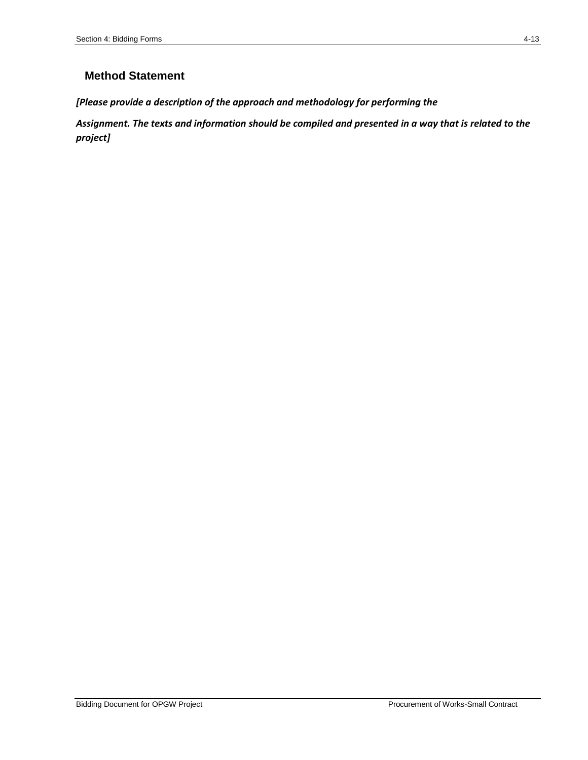## **Method Statement**

*[Please provide a description of the approach and methodology for performing the*

*Assignment. The texts and information should be compiled and presented in a way that is related to the project]*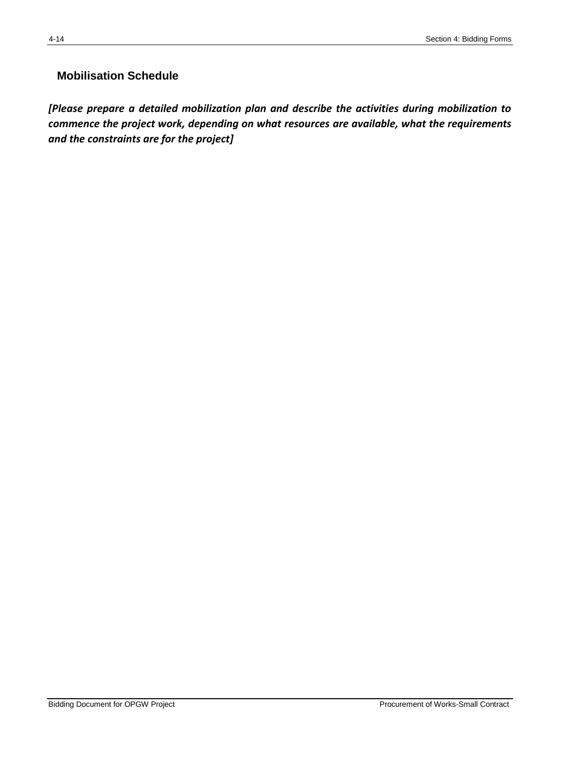## **Mobilisation Schedule**

*[Please prepare a detailed mobilization plan and describe the activities during mobilization to commence the project work, depending on what resources are available, what the requirements and the constraints are for the project]*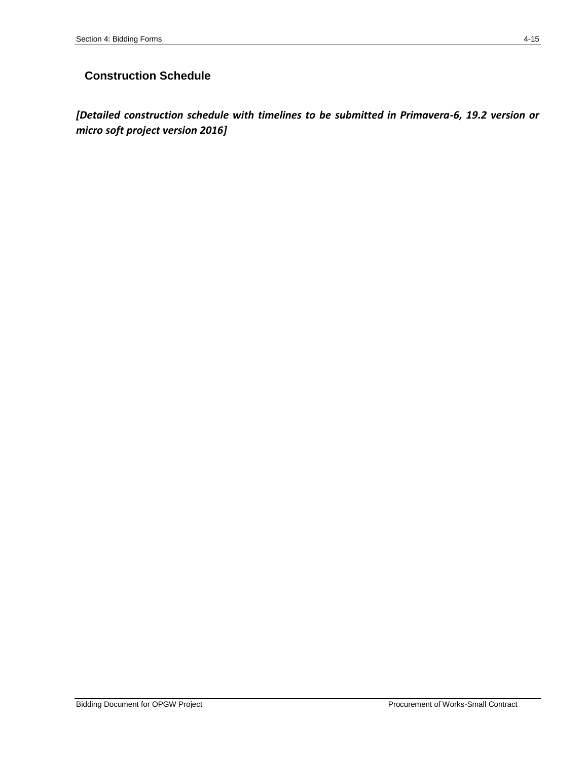## **Construction Schedule**

*[Detailed construction schedule with timelines to be submitted in Primavera-6, 19.2 version or micro soft project version 2016]*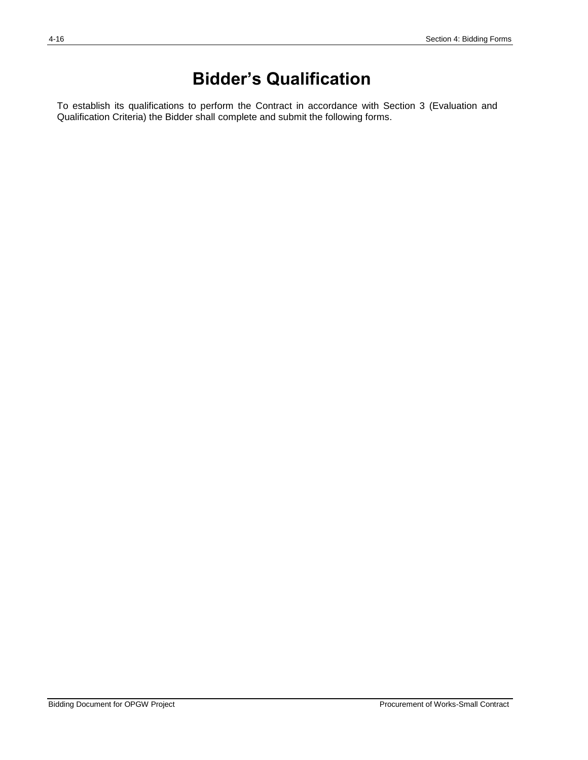## **Bidder's Qualification**

To establish its qualifications to perform the Contract in accordance with Section 3 (Evaluation and Qualification Criteria) the Bidder shall complete and submit the following forms.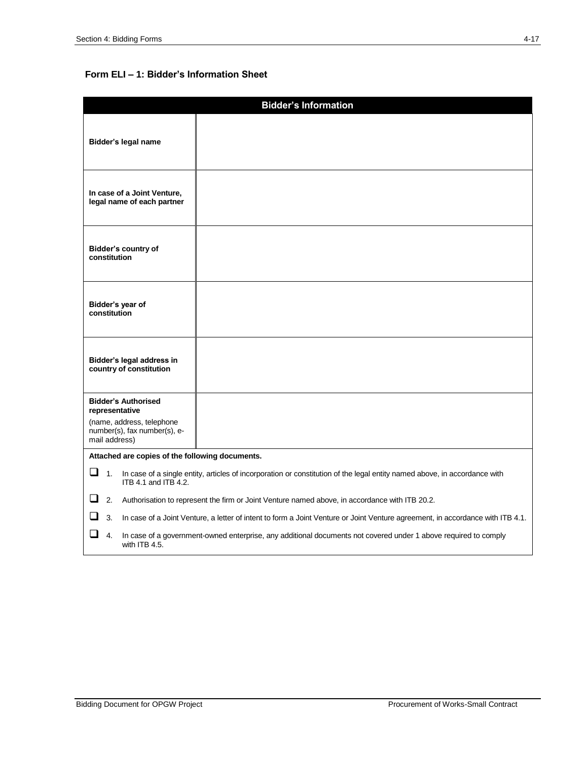## **Form ELI – 1: Bidder's Information Sheet**

| <b>Bidder's Information</b>                                                                                                                                    |  |  |
|----------------------------------------------------------------------------------------------------------------------------------------------------------------|--|--|
| Bidder's legal name                                                                                                                                            |  |  |
| In case of a Joint Venture,<br>legal name of each partner                                                                                                      |  |  |
| Bidder's country of<br>constitution                                                                                                                            |  |  |
| Bidder's year of<br>constitution                                                                                                                               |  |  |
| Bidder's legal address in<br>country of constitution                                                                                                           |  |  |
| <b>Bidder's Authorised</b><br>representative<br>(name, address, telephone<br>number(s), fax number(s), e-<br>mail address)                                     |  |  |
| Attached are copies of the following documents.                                                                                                                |  |  |
| $\Box$ 1.<br>In case of a single entity, articles of incorporation or constitution of the legal entity named above, in accordance with<br>ITB 4.1 and ITB 4.2. |  |  |
| $\Box$ 2.<br>Authorisation to represent the firm or Joint Venture named above, in accordance with ITB 20.2.                                                    |  |  |
| $\Box$ 3.<br>In case of a Joint Venture, a letter of intent to form a Joint Venture or Joint Venture agreement, in accordance with ITB 4.1.                    |  |  |
| П<br>4.<br>In case of a government-owned enterprise, any additional documents not covered under 1 above required to comply<br>with ITB 4.5.                    |  |  |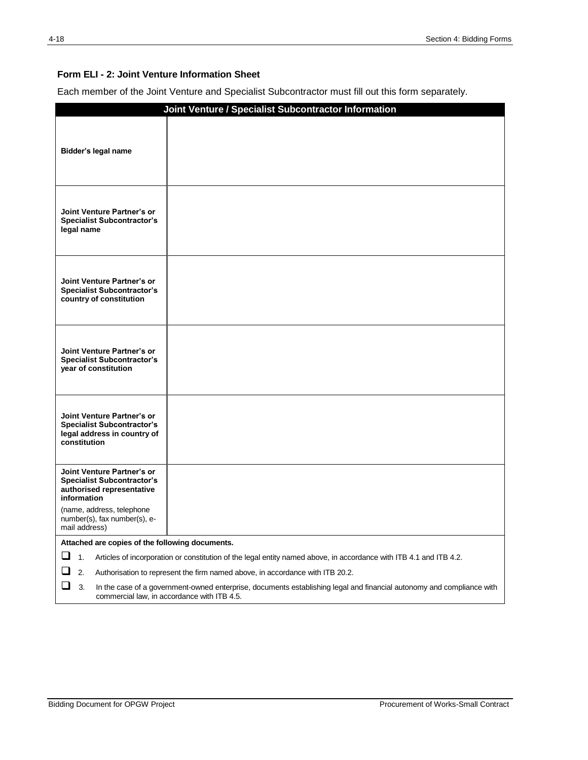#### **Form ELI - 2: Joint Venture Information Sheet**

Each member of the Joint Venture and Specialist Subcontractor must fill out this form separately.

|                                                                                                                                                                                 | Joint Venture / Specialist Subcontractor Information                                                               |  |
|---------------------------------------------------------------------------------------------------------------------------------------------------------------------------------|--------------------------------------------------------------------------------------------------------------------|--|
| Bidder's legal name                                                                                                                                                             |                                                                                                                    |  |
| Joint Venture Partner's or<br><b>Specialist Subcontractor's</b><br>legal name                                                                                                   |                                                                                                                    |  |
| Joint Venture Partner's or<br><b>Specialist Subcontractor's</b><br>country of constitution                                                                                      |                                                                                                                    |  |
| Joint Venture Partner's or<br><b>Specialist Subcontractor's</b><br>year of constitution                                                                                         |                                                                                                                    |  |
| Joint Venture Partner's or<br><b>Specialist Subcontractor's</b><br>legal address in country of<br>constitution                                                                  |                                                                                                                    |  |
| Joint Venture Partner's or<br><b>Specialist Subcontractor's</b><br>authorised representative<br>information                                                                     |                                                                                                                    |  |
| (name, address, telephone<br>number(s), fax number(s), e-<br>mail address)                                                                                                      |                                                                                                                    |  |
| Attached are copies of the following documents.                                                                                                                                 |                                                                                                                    |  |
| ںــا<br>1.                                                                                                                                                                      | Articles of incorporation or constitution of the legal entity named above, in accordance with ITB 4.1 and ITB 4.2. |  |
| 2.                                                                                                                                                                              | Authorisation to represent the firm named above, in accordance with ITB 20.2.                                      |  |
| ⊔<br>3.<br>In the case of a government-owned enterprise, documents establishing legal and financial autonomy and compliance with<br>commercial law, in accordance with ITB 4.5. |                                                                                                                    |  |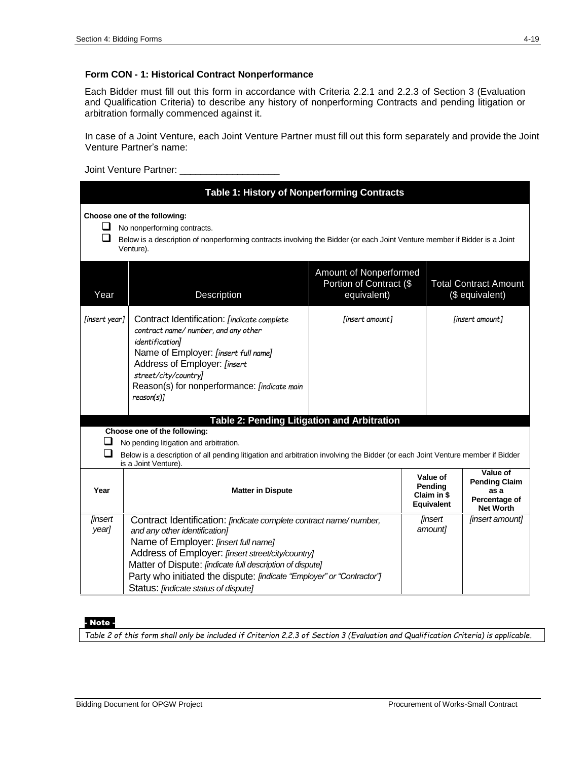#### **Form CON - 1: Historical Contract Nonperformance**

Each Bidder must fill out this form in accordance with Criteria 2.2.1 and 2.2.3 of Section 3 (Evaluation and Qualification Criteria) to describe any history of nonperforming Contracts and pending litigation or arbitration formally commenced against it.

In case of a Joint Venture, each Joint Venture Partner must fill out this form separately and provide the Joint Venture Partner's name:

Joint Venture Partner: \_\_\_\_\_\_\_\_\_\_\_\_\_\_

| Table 1: History of Nonperforming Contracts |                                                                                                                                                                                                                                                                                                                                                                                       |                           |                 |                                                                               |  |  |  |
|---------------------------------------------|---------------------------------------------------------------------------------------------------------------------------------------------------------------------------------------------------------------------------------------------------------------------------------------------------------------------------------------------------------------------------------------|---------------------------|-----------------|-------------------------------------------------------------------------------|--|--|--|
| ப<br>❏                                      | Choose one of the following:<br>No nonperforming contracts.<br>Below is a description of nonperforming contracts involving the Bidder (or each Joint Venture member if Bidder is a Joint<br>Venture).                                                                                                                                                                                 |                           |                 |                                                                               |  |  |  |
| Year                                        | Amount of Nonperformed<br>Portion of Contract (\$<br><b>Total Contract Amount</b><br>Description<br>equivalent)<br>(\$ equivalent)                                                                                                                                                                                                                                                    |                           |                 |                                                                               |  |  |  |
| [insert year]                               | Contract Identification: [indicate complete<br>[insert amount]<br>contract name/number, and any other<br>identification]<br>Name of Employer: [insert full name]<br>Address of Employer: [insert<br>street/city/country]<br>Reason(s) for nonperformance: <i>[indicate main</i><br>reason(s)]                                                                                         |                           | [insert amount] |                                                                               |  |  |  |
|                                             | <b>Table 2: Pending Litigation and Arbitration</b>                                                                                                                                                                                                                                                                                                                                    |                           |                 |                                                                               |  |  |  |
|                                             | Choose one of the following:                                                                                                                                                                                                                                                                                                                                                          |                           |                 |                                                                               |  |  |  |
|                                             | No pending litigation and arbitration.                                                                                                                                                                                                                                                                                                                                                |                           |                 |                                                                               |  |  |  |
|                                             | Below is a description of all pending litigation and arbitration involving the Bidder (or each Joint Venture member if Bidder                                                                                                                                                                                                                                                         |                           |                 |                                                                               |  |  |  |
| Year                                        | is a Joint Venture).<br>Value of<br>Pending<br><b>Matter in Dispute</b><br>Claim in \$<br>Equivalent                                                                                                                                                                                                                                                                                  |                           |                 | Value of<br><b>Pending Claim</b><br>as a<br>Percentage of<br><b>Net Worth</b> |  |  |  |
| [insert<br>year]                            | Contract Identification: [indicate complete contract name/number,<br>and any other identification]<br>Name of Employer: [insert full name]<br>Address of Employer: [insert street/city/country]<br>Matter of Dispute: [indicate full description of dispute]<br>Party who initiated the dispute: [indicate "Employer" or "Contractor"]<br>Status: <i>[indicate status of dispute]</i> | <b>linsert</b><br>amount] | [insert amount] |                                                                               |  |  |  |

#### - Note -

*Table 2 of this form shall only be included if Criterion 2.2.3 of Section 3 (Evaluation and Qualification Criteria) is applicable.*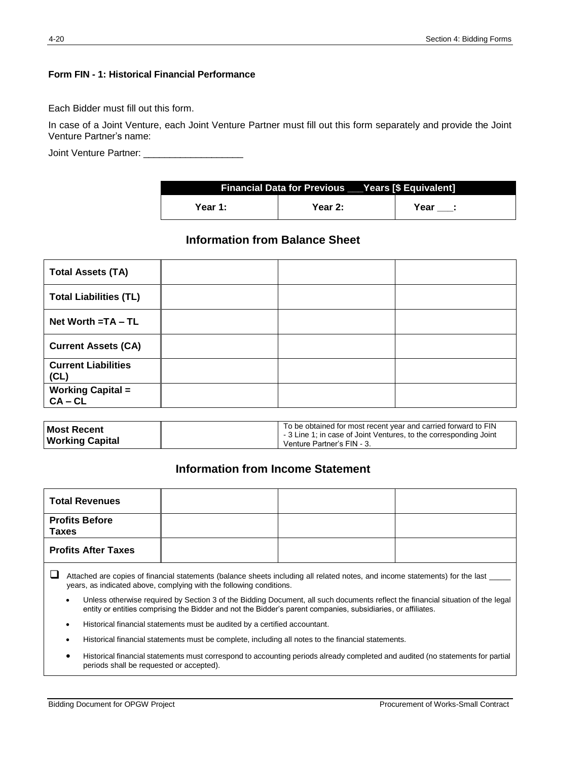### **Form FIN - 1: Historical Financial Performance**

Each Bidder must fill out this form.

In case of a Joint Venture, each Joint Venture Partner must fill out this form separately and provide the Joint Venture Partner's name:

Joint Venture Partner: \_

| <b>Financial Data for Previous Years [\$ Equivalent]</b> |         |      |  |  |  |
|----------------------------------------------------------|---------|------|--|--|--|
| Year 1:                                                  | Year 2: | Year |  |  |  |

## **Information from Balance Sheet**

| <b>Total Assets (TA)</b>           |  |  |
|------------------------------------|--|--|
| <b>Total Liabilities (TL)</b>      |  |  |
| Net Worth = TA - TL                |  |  |
| <b>Current Assets (CA)</b>         |  |  |
| <b>Current Liabilities</b><br>(CL) |  |  |
| Working Capital =<br>CA – CL       |  |  |

| <b>Most Recent</b><br><b>Working Capital</b> | To be obtained for most recent year and carried forward to FIN<br>-3 Line 1; in case of Joint Ventures, to the corresponding Joint<br>Venture Partner's FIN - 3. |
|----------------------------------------------|------------------------------------------------------------------------------------------------------------------------------------------------------------------|
|----------------------------------------------|------------------------------------------------------------------------------------------------------------------------------------------------------------------|

## **Information from Income Statement**

| <b>Total Revenues</b>                                                                                                          |  |  |  |  |  |
|--------------------------------------------------------------------------------------------------------------------------------|--|--|--|--|--|
| <b>Profits Before</b><br><b>Taxes</b>                                                                                          |  |  |  |  |  |
| <b>Profits After Taxes</b>                                                                                                     |  |  |  |  |  |
| Attached are copies of financial statements (balance sheets including all related notes, and income statements) for the last _ |  |  |  |  |  |

- years, as indicated above, complying with the following conditions. Unless otherwise required by Section 3 of the Bidding Document, all such documents reflect the financial situation of the legal
- entity or entities comprising the Bidder and not the Bidder's parent companies, subsidiaries, or affiliates.
- Historical financial statements must be audited by a certified accountant.
- Historical financial statements must be complete, including all notes to the financial statements.
- Historical financial statements must correspond to accounting periods already completed and audited (no statements for partial periods shall be requested or accepted).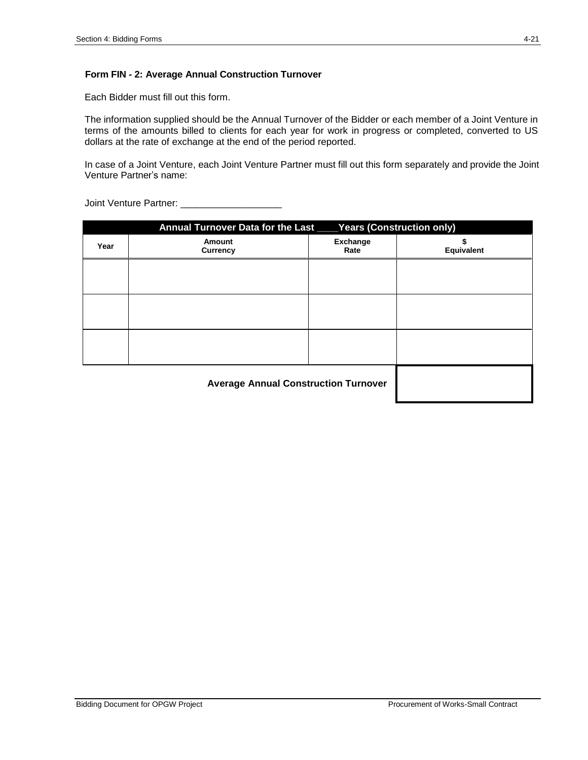#### **Form FIN - 2: Average Annual Construction Turnover**

Each Bidder must fill out this form.

The information supplied should be the Annual Turnover of the Bidder or each member of a Joint Venture in terms of the amounts billed to clients for each year for work in progress or completed, converted to US dollars at the rate of exchange at the end of the period reported.

In case of a Joint Venture, each Joint Venture Partner must fill out this form separately and provide the Joint Venture Partner's name:

|      | Annual Turnover Data for the Last ____ Years (Construction only) |                         |                   |  |  |
|------|------------------------------------------------------------------|-------------------------|-------------------|--|--|
| Year | Amount<br><b>Currency</b>                                        | <b>Exchange</b><br>Rate | <b>Equivalent</b> |  |  |
|      |                                                                  |                         |                   |  |  |
|      |                                                                  |                         |                   |  |  |
|      |                                                                  |                         |                   |  |  |
|      |                                                                  |                         |                   |  |  |
|      | <b>Average Annual Construction Turnover</b>                      |                         |                   |  |  |

Joint Venture Partner: \_\_\_\_\_\_\_\_\_\_\_\_\_\_\_\_\_\_\_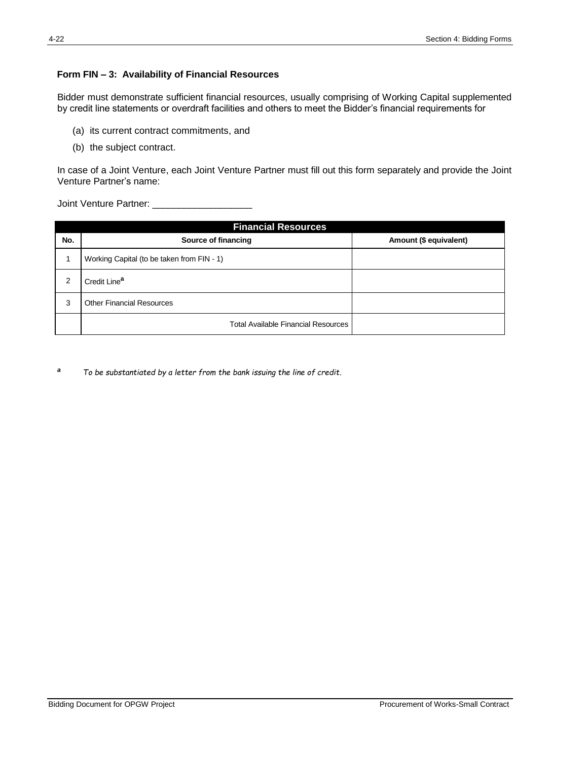### **Form FIN – 3: Availability of Financial Resources**

Bidder must demonstrate sufficient financial resources, usually comprising of Working Capital supplemented by credit line statements or overdraft facilities and others to meet the Bidder's financial requirements for

- (a) its current contract commitments, and
- (b) the subject contract.

In case of a Joint Venture, each Joint Venture Partner must fill out this form separately and provide the Joint Venture Partner's name:

Joint Venture Partner: \_\_\_\_\_\_\_\_\_\_\_\_\_\_\_\_\_\_\_

|     | <b>Financial Resources</b>                 |                        |  |  |  |  |
|-----|--------------------------------------------|------------------------|--|--|--|--|
| No. | Source of financing                        | Amount (\$ equivalent) |  |  |  |  |
|     | Working Capital (to be taken from FIN - 1) |                        |  |  |  |  |
| 2   | Credit Line <sup>a</sup>                   |                        |  |  |  |  |
| 3   | <b>Other Financial Resources</b>           |                        |  |  |  |  |
|     | <b>Total Available Financial Resources</b> |                        |  |  |  |  |

*<sup>a</sup> To be substantiated by a letter from the bank issuing the line of credit.*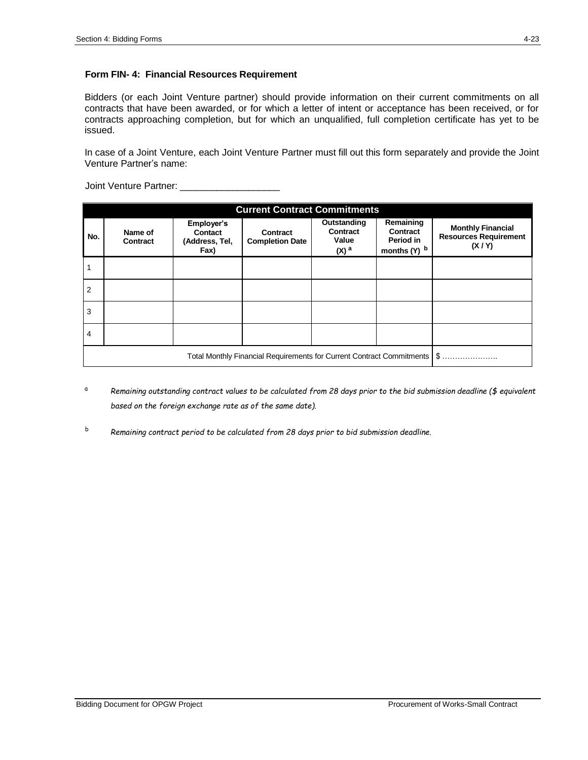### **Form FIN- 4: Financial Resources Requirement**

Bidders (or each Joint Venture partner) should provide information on their current commitments on all contracts that have been awarded, or for which a letter of intent or acceptance has been received, or for contracts approaching completion, but for which an unqualified, full completion certificate has yet to be issued.

In case of a Joint Venture, each Joint Venture Partner must fill out this form separately and provide the Joint Venture Partner's name:

| Joint Venture Partner: |  |
|------------------------|--|
|                        |  |

|     | <b>Current Contract Commitments</b>                                   |                                                 |                                           |                                                        |                                                    |                                                                   |  |
|-----|-----------------------------------------------------------------------|-------------------------------------------------|-------------------------------------------|--------------------------------------------------------|----------------------------------------------------|-------------------------------------------------------------------|--|
| No. | Name of<br>Contract                                                   | Employer's<br>Contact<br>(Address, Tel,<br>Fax) | <b>Contract</b><br><b>Completion Date</b> | Outstanding<br>Contract<br>Value<br>$(X)$ <sup>a</sup> | Remaining<br>Contract<br>Period in<br>months (Y) b | <b>Monthly Financial</b><br><b>Resources Requirement</b><br>(X/Y) |  |
|     |                                                                       |                                                 |                                           |                                                        |                                                    |                                                                   |  |
| 2   |                                                                       |                                                 |                                           |                                                        |                                                    |                                                                   |  |
| 3   |                                                                       |                                                 |                                           |                                                        |                                                    |                                                                   |  |
| 4   |                                                                       |                                                 |                                           |                                                        |                                                    |                                                                   |  |
|     | Total Monthly Financial Requirements for Current Contract Commitments |                                                 |                                           |                                                        |                                                    | <b>\$</b>                                                         |  |

- <sup>a</sup> *Remaining outstanding contract values to be calculated from 28 days prior to the bid submission deadline (\$ equivalent based on the foreign exchange rate as of the same date).*
- b *Remaining contract period to be calculated from 28 days prior to bid submission deadline.*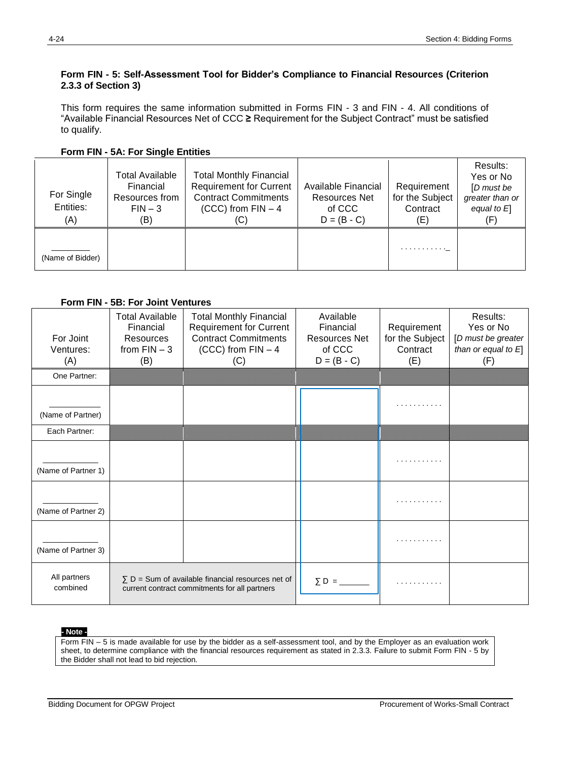### **Form FIN - 5: Self-Assessment Tool for Bidder's Compliance to Financial Resources (Criterion 2.3.3 of Section 3)**

This form requires the same information submitted in Forms FIN - 3 and FIN - 4. All conditions of "Available Financial Resources Net of CCC **≥** Requirement for the Subject Contract" must be satisfied to qualify.

**Form FIN - 5A: For Single Entities**

| For Single<br>Entities:<br>(A) | <b>Total Available</b><br>Financial<br>Resources from<br>$FIN-3$<br>(B) | <b>Total Monthly Financial</b><br><b>Requirement for Current</b><br><b>Contract Commitments</b><br>$(CCC)$ from $FIN - 4$<br>(C) | Available Financial<br><b>Resources Net</b><br>of CCC<br>$D = (B - C)$ | Requirement<br>for the Subject<br>Contract<br>(E) | Results:<br>Yes or No<br>[D must be<br>greater than or<br>equal to $E$<br>(F) |
|--------------------------------|-------------------------------------------------------------------------|----------------------------------------------------------------------------------------------------------------------------------|------------------------------------------------------------------------|---------------------------------------------------|-------------------------------------------------------------------------------|
| (Name of Bidder)               |                                                                         |                                                                                                                                  |                                                                        | . <u>.</u>                                        |                                                                               |

**Form FIN - 5B: For Joint Ventures**

| For Joint<br>Ventures:<br>(A) | <b>Total Available</b><br>Financial<br>Resources<br>from $FIN - 3$<br>(B)                                 | <b>Total Monthly Financial</b><br><b>Requirement for Current</b><br><b>Contract Commitments</b><br>(CCC) from $FIN - 4$<br>(C) | Available<br>Financial<br><b>Resources Net</b><br>of CCC<br>$D = (B - C)$ | Requirement<br>for the Subject<br>Contract<br>(E) | Results:<br>Yes or No<br>[D must be greater<br>than or equal to $E$ ]<br>(F) |
|-------------------------------|-----------------------------------------------------------------------------------------------------------|--------------------------------------------------------------------------------------------------------------------------------|---------------------------------------------------------------------------|---------------------------------------------------|------------------------------------------------------------------------------|
| One Partner:                  |                                                                                                           |                                                                                                                                |                                                                           |                                                   |                                                                              |
| (Name of Partner)             |                                                                                                           |                                                                                                                                |                                                                           |                                                   |                                                                              |
| Each Partner:                 |                                                                                                           |                                                                                                                                |                                                                           |                                                   |                                                                              |
| (Name of Partner 1)           |                                                                                                           |                                                                                                                                |                                                                           |                                                   |                                                                              |
| (Name of Partner 2)           |                                                                                                           |                                                                                                                                |                                                                           |                                                   |                                                                              |
| (Name of Partner 3)           |                                                                                                           |                                                                                                                                |                                                                           |                                                   |                                                                              |
| All partners<br>combined      | $\Sigma$ D = Sum of available financial resources net of<br>current contract commitments for all partners |                                                                                                                                | $\Sigma$ D =                                                              |                                                   |                                                                              |

#### **- Note -**

Form FIN – 5 is made available for use by the bidder as a self-assessment tool, and by the Employer as an evaluation work sheet, to determine compliance with the financial resources requirement as stated in 2.3.3. Failure to submit Form FIN - 5 by the Bidder shall not lead to bid rejection.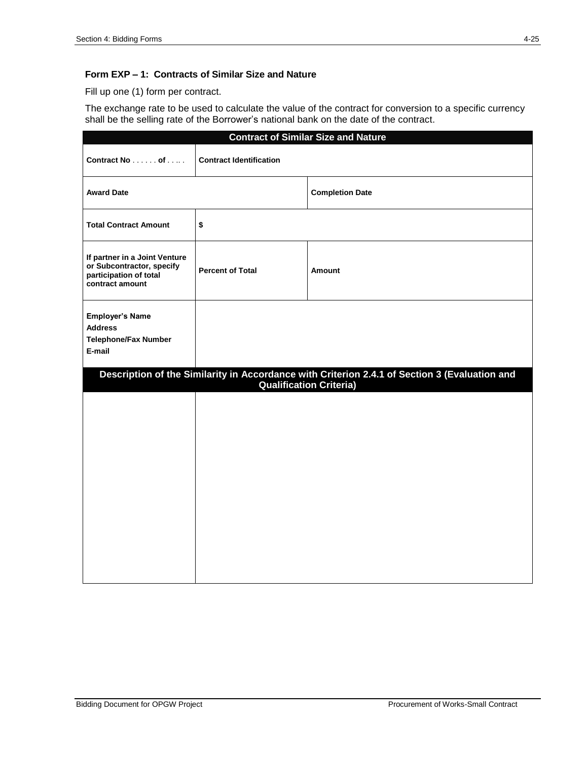### **Form EXP – 1: Contracts of Similar Size and Nature**

Fill up one (1) form per contract.

The exchange rate to be used to calculate the value of the contract for conversion to a specific currency shall be the selling rate of the Borrower's national bank on the date of the contract.

| <b>Contract of Similar Size and Nature</b>                                                              |                                |                                                                                                                                 |  |  |  |  |
|---------------------------------------------------------------------------------------------------------|--------------------------------|---------------------------------------------------------------------------------------------------------------------------------|--|--|--|--|
| Contract No of                                                                                          | <b>Contract Identification</b> |                                                                                                                                 |  |  |  |  |
| <b>Award Date</b>                                                                                       |                                | <b>Completion Date</b>                                                                                                          |  |  |  |  |
| <b>Total Contract Amount</b>                                                                            | \$                             |                                                                                                                                 |  |  |  |  |
| If partner in a Joint Venture<br>or Subcontractor, specify<br>participation of total<br>contract amount | <b>Percent of Total</b>        | Amount                                                                                                                          |  |  |  |  |
| <b>Employer's Name</b><br><b>Address</b><br><b>Telephone/Fax Number</b><br>E-mail                       |                                |                                                                                                                                 |  |  |  |  |
|                                                                                                         |                                | Description of the Similarity in Accordance with Criterion 2.4.1 of Section 3 (Evaluation and<br><b>Qualification Criteria)</b> |  |  |  |  |
|                                                                                                         |                                |                                                                                                                                 |  |  |  |  |
|                                                                                                         |                                |                                                                                                                                 |  |  |  |  |
|                                                                                                         |                                |                                                                                                                                 |  |  |  |  |
|                                                                                                         |                                |                                                                                                                                 |  |  |  |  |
|                                                                                                         |                                |                                                                                                                                 |  |  |  |  |
|                                                                                                         |                                |                                                                                                                                 |  |  |  |  |
|                                                                                                         |                                |                                                                                                                                 |  |  |  |  |